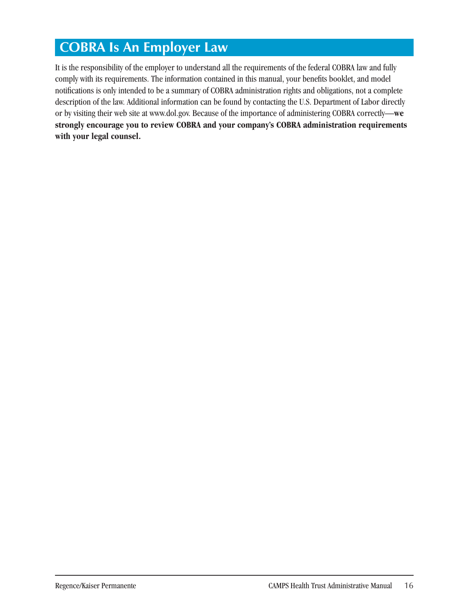# **COBRA Is An Employer Law**

It is the responsibility of the employer to understand all the requirements of the federal COBRA law and fully comply with its requirements. The information contained in this manual, your benefits booklet, and model notifications is only intended to be a summary of COBRA administration rights and obligations, not a complete description of the law. Additional information can be found by contacting the U.S. Department of Labor directly or by visiting their web site at www.dol.gov. Because of the importance of administering COBRA correctly—**we strongly encourage you to review COBRA and your company's COBRA administration requirements with your legal counsel.**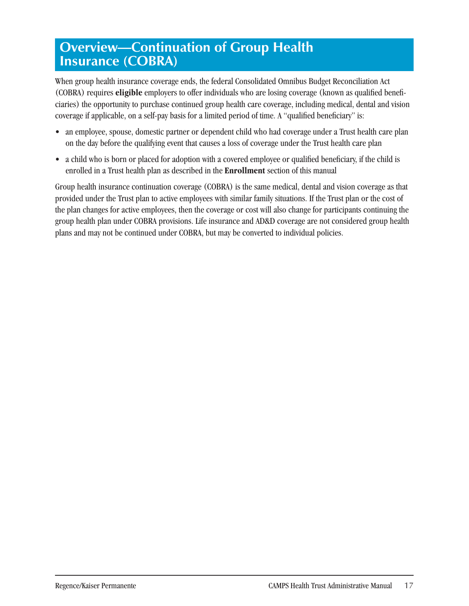# **Overview—Continuation of Group Health Insurance (COBRA)**

When group health insurance coverage ends, the federal Consolidated Omnibus Budget Reconciliation Act (COBRA) requires **eligible** employers to offer individuals who are losing coverage (known as qualified beneficiaries) the opportunity to purchase continued group health care coverage, including medical, dental and vision coverage if applicable, on a self-pay basis for a limited period of time. A "qualified beneficiary" is:

- an employee, spouse, domestic partner or dependent child who had coverage under a Trust health care plan on the day before the qualifying event that causes a loss of coverage under the Trust health care plan
- a child who is born or placed for adoption with a covered employee or qualified beneficiary, if the child is enrolled in a Trust health plan as described in the **Enrollment** section of this manual

Group health insurance continuation coverage (COBRA) is the same medical, dental and vision coverage as that provided under the Trust plan to active employees with similar family situations. If the Trust plan or the cost of the plan changes for active employees, then the coverage or cost will also change for participants continuing the group health plan under COBRA provisions. Life insurance and AD&D coverage are not considered group health plans and may not be continued under COBRA, but may be converted to individual policies.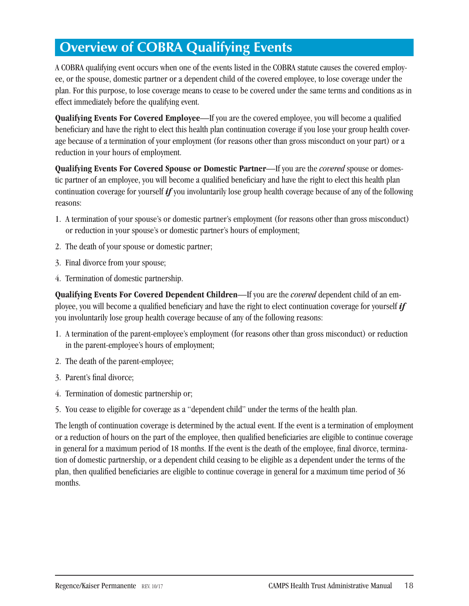# **Overview of COBRA Qualifying Events**

A COBRA qualifying event occurs when one of the events listed in the COBRA statute causes the covered employee, or the spouse, domestic partner or a dependent child of the covered employee, to lose coverage under the plan. For this purpose, to lose coverage means to cease to be covered under the same terms and conditions as in effect immediately before the qualifying event.

**Qualifying Events For Covered Employee**—If you are the covered employee, you will become a qualified beneficiary and have the right to elect this health plan continuation coverage if you lose your group health coverage because of a termination of your employment (for reasons other than gross misconduct on your part) or a reduction in your hours of employment.

**Qualifying Events For Covered Spouse or Domestic Partner**—If you are the *covered* spouse or domestic partner of an employee, you will become a qualified beneficiary and have the right to elect this health plan continuation coverage for yourself *if* you involuntarily lose group health coverage because of any of the following reasons:

- 1. A termination of your spouse's or domestic partner's employment (for reasons other than gross misconduct) or reduction in your spouse's or domestic partner's hours of employment;
- 2. The death of your spouse or domestic partner;
- 3. Final divorce from your spouse;
- 4. Termination of domestic partnership.

**Qualifying Events For Covered Dependent Children**—If you are the *covered* dependent child of an employee, you will become a qualified beneficiary and have the right to elect continuation coverage for yourself *if*  you involuntarily lose group health coverage because of any of the following reasons:

- 1. A termination of the parent-employee's employment (for reasons other than gross misconduct) or reduction in the parent-employee's hours of employment;
- 2. The death of the parent-employee;
- 3. Parent's final divorce;
- 4. Termination of domestic partnership or;
- 5. You cease to eligible for coverage as a "dependent child" under the terms of the health plan.

The length of continuation coverage is determined by the actual event. If the event is a termination of employment or a reduction of hours on the part of the employee, then qualified beneficiaries are eligible to continue coverage in general for a maximum period of 18 months. If the event is the death of the employee, final divorce, termination of domestic partnership, or a dependent child ceasing to be eligible as a dependent under the terms of the plan, then qualified beneficiaries are eligible to continue coverage in general for a maximum time period of 36 months.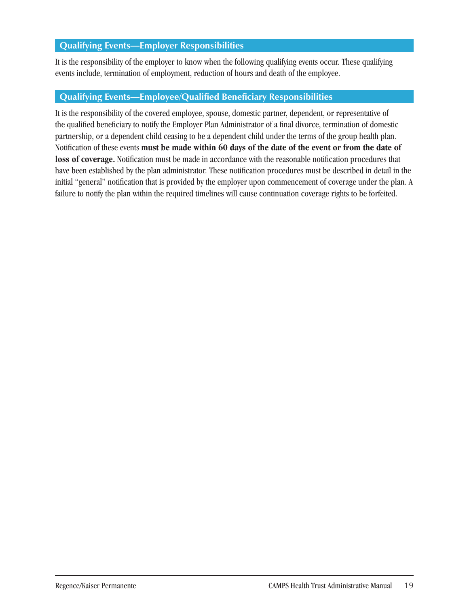### **Qualifying Events—Employer Responsibilities**

It is the responsibility of the employer to know when the following qualifying events occur. These qualifying events include, termination of employment, reduction of hours and death of the employee.

### **Qualifying Events—Employee/Qualified Beneficiary Responsibilities**

It is the responsibility of the covered employee, spouse, domestic partner, dependent, or representative of the qualified beneficiary to notify the Employer Plan Administrator of a final divorce, termination of domestic partnership, or a dependent child ceasing to be a dependent child under the terms of the group health plan. Notification of these events **must be made within 60 days of the date of the event or from the date of loss of coverage.** Notification must be made in accordance with the reasonable notification procedures that have been established by the plan administrator. These notification procedures must be described in detail in the initial "general" notification that is provided by the employer upon commencement of coverage under the plan. A failure to notify the plan within the required timelines will cause continuation coverage rights to be forfeited.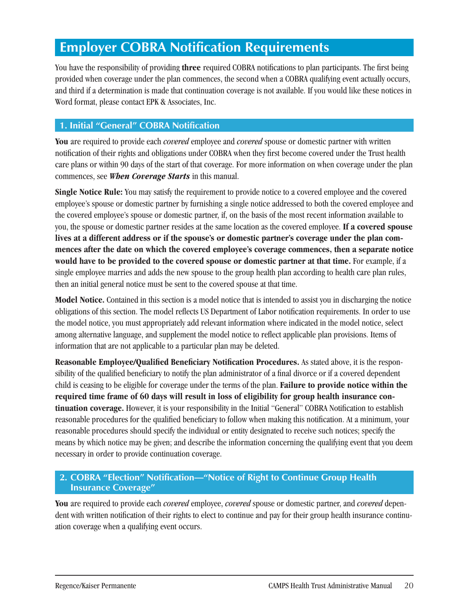## **Employer COBRA Notification Requirements**

You have the responsibility of providing **three** required COBRA notifications to plan participants. The first being provided when coverage under the plan commences, the second when a COBRA qualifying event actually occurs, and third if a determination is made that continuation coverage is not available. If you would like these notices in Word format, please contact EPK & Associates, Inc.

### **1. Initial "General" COBRA Notification**

**You** are required to provide each *covered* employee and *covered* spouse or domestic partner with written notification of their rights and obligations under COBRA when they first become covered under the Trust health care plans or within 90 days of the start of that coverage. For more information on when coverage under the plan commences, see *When Coverage Starts* in this manual.

**Single Notice Rule:** You may satisfy the requirement to provide notice to a covered employee and the covered employee's spouse or domestic partner by furnishing a single notice addressed to both the covered employee and the covered employee's spouse or domestic partner, if, on the basis of the most recent information available to you, the spouse or domestic partner resides at the same location as the covered employee. **If a covered spouse lives at a different address or if the spouse's or domestic partner's coverage under the plan commences after the date on which the covered employee's coverage commences, then a separate notice would have to be provided to the covered spouse or domestic partner at that time.** For example, if a single employee marries and adds the new spouse to the group health plan according to health care plan rules, then an initial general notice must be sent to the covered spouse at that time.

**Model Notice.** Contained in this section is a model notice that is intended to assist you in discharging the notice obligations of this section. The model reflects US Department of Labor notification requirements. In order to use the model notice, you must appropriately add relevant information where indicated in the model notice, select among alternative language, and supplement the model notice to reflect applicable plan provisions. Items of information that are not applicable to a particular plan may be deleted.

**Reasonable Employee/Qualified Beneficiary Notification Procedures.** As stated above, it is the responsibility of the qualified beneficiary to notify the plan administrator of a final divorce or if a covered dependent child is ceasing to be eligible for coverage under the terms of the plan. **Failure to provide notice within the required time frame of 60 days will result in loss of eligibility for group health insurance continuation coverage.** However, it is your responsibility in the Initial "General" COBRA Notification to establish reasonable procedures for the qualified beneficiary to follow when making this notification. At a minimum, your reasonable procedures should specify the individual or entity designated to receive such notices; specify the means by which notice may be given; and describe the information concerning the qualifying event that you deem necessary in order to provide continuation coverage.

### **2. COBRA "Election" Notification—"Notice of Right to Continue Group Health Insurance Coverage"**

**You** are required to provide each *covered* employee, *covered* spouse or domestic partner, and *covered* dependent with written notification of their rights to elect to continue and pay for their group health insurance continuation coverage when a qualifying event occurs.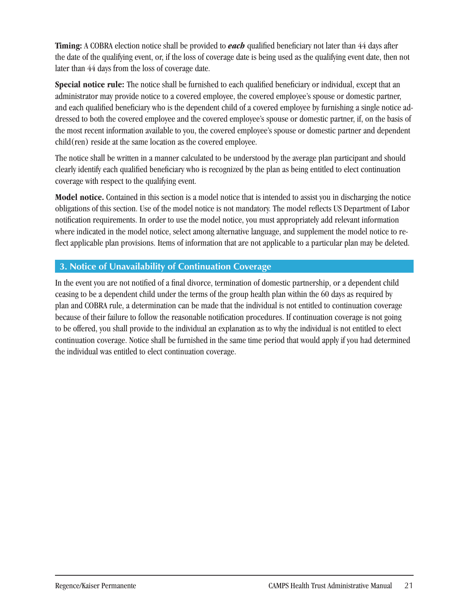**Timing:** A COBRA election notice shall be provided to *each* qualified beneficiary not later than 44 days after the date of the qualifying event, or, if the loss of coverage date is being used as the qualifying event date, then not later than 44 days from the loss of coverage date.

**Special notice rule:** The notice shall be furnished to each qualified beneficiary or individual, except that an administrator may provide notice to a covered employee, the covered employee's spouse or domestic partner, and each qualified beneficiary who is the dependent child of a covered employee by furnishing a single notice addressed to both the covered employee and the covered employee's spouse or domestic partner, if, on the basis of the most recent information available to you, the covered employee's spouse or domestic partner and dependent child(ren) reside at the same location as the covered employee.

The notice shall be written in a manner calculated to be understood by the average plan participant and should clearly identify each qualified beneficiary who is recognized by the plan as being entitled to elect continuation coverage with respect to the qualifying event.

**Model notice.** Contained in this section is a model notice that is intended to assist you in discharging the notice obligations of this section. Use of the model notice is not mandatory. The model reflects US Department of Labor notification requirements. In order to use the model notice, you must appropriately add relevant information where indicated in the model notice, select among alternative language, and supplement the model notice to reflect applicable plan provisions. Items of information that are not applicable to a particular plan may be deleted.

### **3. Notice of Unavailability of Continuation Coverage**

In the event you are not notified of a final divorce, termination of domestic partnership, or a dependent child ceasing to be a dependent child under the terms of the group health plan within the 60 days as required by plan and COBRA rule, a determination can be made that the individual is not entitled to continuation coverage because of their failure to follow the reasonable notification procedures. If continuation coverage is not going to be offered, you shall provide to the individual an explanation as to why the individual is not entitled to elect continuation coverage. Notice shall be furnished in the same time period that would apply if you had determined the individual was entitled to elect continuation coverage.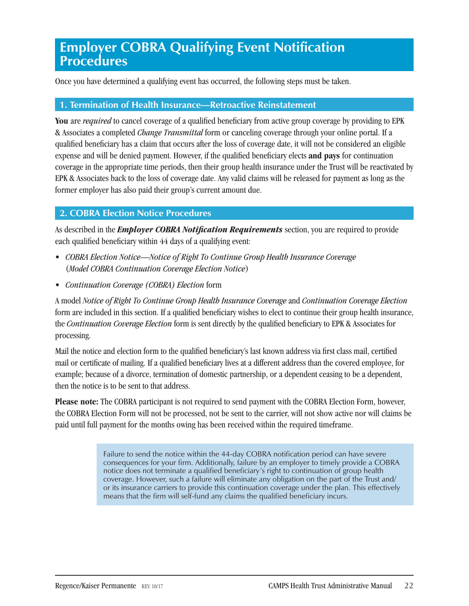### **Employer COBRA Qualifying Event Notification Procedures**

Once you have determined a qualifying event has occurred, the following steps must be taken.

#### **1. Termination of Health Insurance—Retroactive Reinstatement**

**You** are *required* to cancel coverage of a qualified beneficiary from active group coverage by providing to EPK & Associates a completed *Change Transmittal* form or canceling coverage through your online portal. If a qualified beneficiary has a claim that occurs after the loss of coverage date, it will not be considered an eligible expense and will be denied payment. However, if the qualified beneficiary elects **and pays** for continuation coverage in the appropriate time periods, then their group health insurance under the Trust will be reactivated by EPK & Associates back to the loss of coverage date. Any valid claims will be released for payment as long as the former employer has also paid their group's current amount due.

#### **2. COBRA Election Notice Procedures**

As described in the *Employer COBRA Notification Requirements* section, you are required to provide each qualified beneficiary within 44 days of a qualifying event:

- *COBRA Election Notice—Notice of Right To Continue Group Health Insurance Coverage* (*Model COBRA Continuation Coverage Election Notice*)
- *Continuation Coverage (COBRA) Election* form

A model *Notice of Right To Continue Group Health Insurance Coverage* and *Continuation Coverage Election*  form are included in this section. If a qualified beneficiary wishes to elect to continue their group health insurance, the *Continuation Coverage Election* form is sent directly by the qualified beneficiary to EPK & Associates for processing.

Mail the notice and election form to the qualified beneficiary's last known address via first class mail, certified mail or certificate of mailing. If a qualified beneficiary lives at a different address than the covered employee, for example; because of a divorce, termination of domestic partnership, or a dependent ceasing to be a dependent, then the notice is to be sent to that address.

**Please note:** The COBRA participant is not required to send payment with the COBRA Election Form, however, the COBRA Election Form will not be processed, not be sent to the carrier, will not show active nor will claims be paid until full payment for the months owing has been received within the required timeframe.

> Failure to send the notice within the 44-day COBRA notification period can have severe consequences for your firm. Additionally, failure by an employer to timely provide a COBRA notice does not terminate a qualified beneficiary's right to continuation of group health coverage. However, such a failure will eliminate any obligation on the part of the Trust and/ or its insurance carriers to provide this continuation coverage under the plan. This effectively means that the firm will self-fund any claims the qualified beneficiary incurs.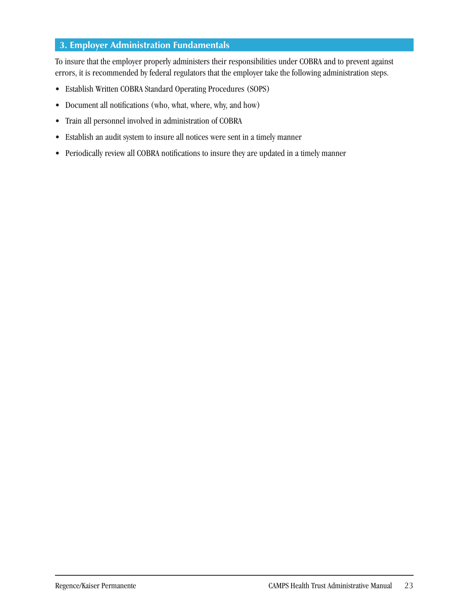### **3. Employer Administration Fundamentals**

To insure that the employer properly administers their responsibilities under COBRA and to prevent against errors, it is recommended by federal regulators that the employer take the following administration steps.

- Establish Written COBRA Standard Operating Procedures (SOPS)
- Document all notifications (who, what, where, why, and how)
- Train all personnel involved in administration of COBRA
- Establish an audit system to insure all notices were sent in a timely manner
- Periodically review all COBRA notifications to insure they are updated in a timely manner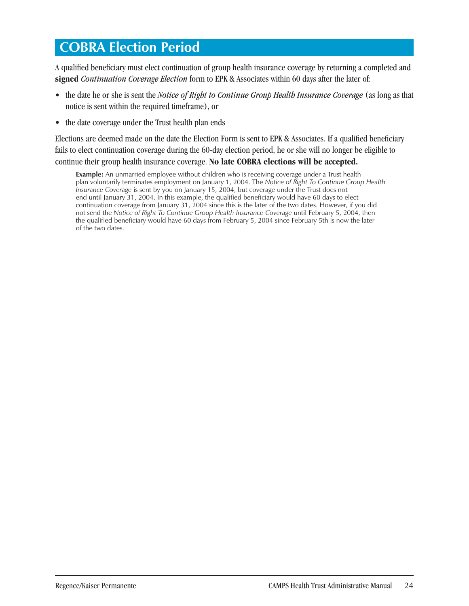### **COBRA Election Period**

A qualified beneficiary must elect continuation of group health insurance coverage by returning a completed and **signed** *Continuation Coverage Election* form to EPK & Associates within 60 days after the later of:

- the date he or she is sent the *Notice of Right to Continue Group Health Insurance Coverage* (as long as that notice is sent within the required timeframe), or
- the date coverage under the Trust health plan ends

Elections are deemed made on the date the Election Form is sent to EPK & Associates. If a qualified beneficiary fails to elect continuation coverage during the 60-day election period, he or she will no longer be eligible to continue their group health insurance coverage. **No late COBRA elections will be accepted.** 

**Example:** An unmarried employee without children who is receiving coverage under a Trust health plan voluntarily terminates employment on January 1, 2004. The *Notice of Right To Continue Group Health Insurance Coverage* is sent by you on January 15, 2004, but coverage under the Trust does not end until January 31, 2004. In this example, the qualified beneficiary would have 60 days to elect continuation coverage from January 31, 2004 since this is the later of the two dates. However, if you did not send the *Notice of Right To Continue Group Health Insurance Coverage until February 5, 2004, then* the qualified beneficiary would have 60 days from February 5, 2004 since February 5th is now the later of the two dates.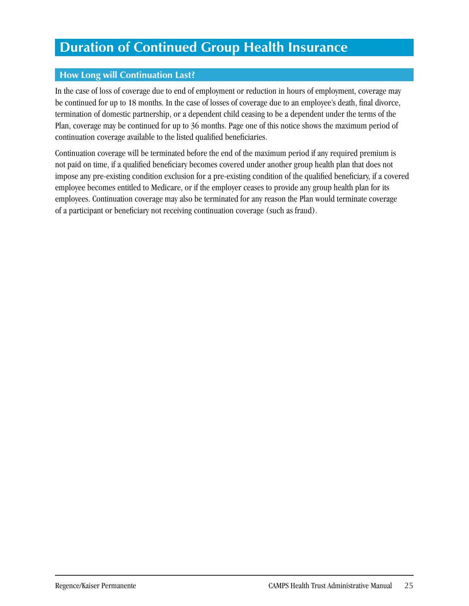## **Duration of Continued Group Health Insurance**

### **How Long will Continuation Last?**

In the case of loss of coverage due to end of employment or reduction in hours of employment, coverage may be continued for up to 18 months. In the case of losses of coverage due to an employee's death, final divorce, termination of domestic partnership, or a dependent child ceasing to be a dependent under the terms of the Plan, coverage may be continued for up to 36 months. Page one of this notice shows the maximum period of continuation coverage available to the listed qualified beneficiaries.

Continuation coverage will be terminated before the end of the maximum period if any required premium is not paid on time, if a qualified beneficiary becomes covered under another group health plan that does not impose any pre-existing condition exclusion for a pre-existing condition of the qualified beneficiary, if a covered employee becomes entitled to Medicare, or if the employer ceases to provide any group health plan for its employees. Continuation coverage may also be terminated for any reason the Plan would terminate coverage of a participant or beneficiary not receiving continuation coverage (such as fraud).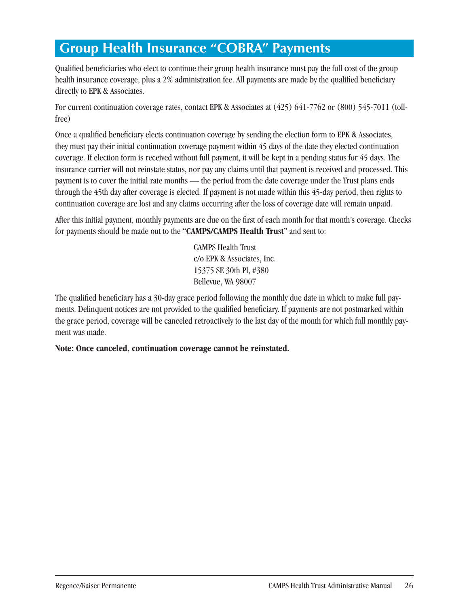# **Group Health Insurance "COBRA" Payments**

Qualified beneficiaries who elect to continue their group health insurance must pay the full cost of the group health insurance coverage, plus a 2% administration fee. All payments are made by the qualified beneficiary directly to EPK & Associates.

For current continuation coverage rates, contact EPK & Associates at (425) 641-7762 or (800) 545-7011 (tollfree)

Once a qualified beneficiary elects continuation coverage by sending the election form to EPK & Associates, they must pay their initial continuation coverage payment within 45 days of the date they elected continuation coverage. If election form is received without full payment, it will be kept in a pending status for 45 days. The insurance carrier will not reinstate status, nor pay any claims until that payment is received and processed. This payment is to cover the initial rate months — the period from the date coverage under the Trust plans ends through the 45th day after coverage is elected. If payment is not made within this 45-day period, then rights to continuation coverage are lost and any claims occurring after the loss of coverage date will remain unpaid.

After this initial payment, monthly payments are due on the first of each month for that month's coverage. Checks for payments should be made out to the **"CAMPS/CAMPS Health Tru**s**t"** and sent to:

> CAMPS Health Trust c/o EPK & Associates, Inc. 15375 SE 30th Pl, #380 Bellevue, WA 98007

The qualified beneficiary has a 30-day grace period following the monthly due date in which to make full payments. Delinquent notices are not provided to the qualified beneficiary. If payments are not postmarked within the grace period, coverage will be canceled retroactively to the last day of the month for which full monthly payment was made.

**Note: Once canceled, continuation coverage cannot be reinstated.**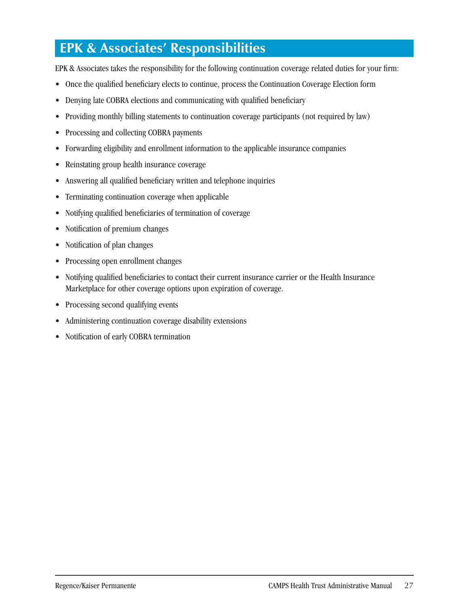# **EPK & Associates' Responsibilities**

EPK & Associates takes the responsibility for the following continuation coverage related duties for your firm:

- Once the qualified beneficiary elects to continue, process the Continuation Coverage Election form
- Denying late COBRA elections and communicating with qualified beneficiary
- Providing monthly billing statements to continuation coverage participants (not required by law)
- Processing and collecting COBRA payments
- Forwarding eligibility and enrollment information to the applicable insurance companies
- Reinstating group health insurance coverage
- Answering all qualified beneficiary written and telephone inquiries
- Terminating continuation coverage when applicable
- Notifying qualified beneficiaries of termination of coverage
- Notification of premium changes
- Notification of plan changes
- Processing open enrollment changes
- Notifying qualified beneficiaries to contact their current insurance carrier or the Health Insurance Marketplace for other coverage options upon expiration of coverage.
- Processing second qualifying events
- Administering continuation coverage disability extensions
- Notification of early COBRA termination